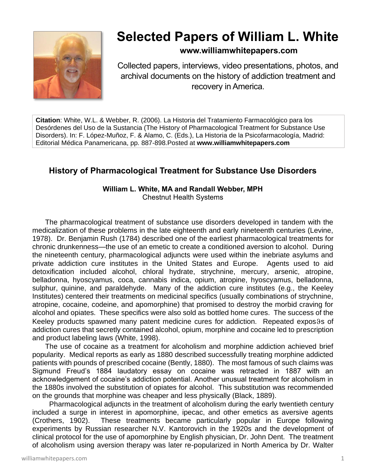

# **Selected Papers of William L. White**

## **www.williamwhitepapers.com**

Collected papers, interviews, video presentations, photos, and archival documents on the history of addiction treatment and recovery in America.

**Citation**: White, W.L. & Webber, R. (2006). La Historia del Tratamiento Farmacológico para los Desórdenes del Uso de la Sustancia (The History of Pharmacological Treatment for Substance Use Disorders). In: F. López-Muñoz, F. & Alamo, C. (Eds.), La Historia de la Psicofarmacología, Madrid: Editorial Médica Panamericana, pp. 887-898.Posted at **www.williamwhitepapers.com**

# **History of Pharmacological Treatment for Substance Use Disorders**

## **William L. White, MA and Randall Webber, MPH**

Chestnut Health Systems

The pharmacological treatment of substance use disorders developed in tandem with the medicalization of these problems in the late eighteenth and early nineteenth centuries (Levine, 1978). Dr. Benjamin Rush (1784) described one of the earliest pharmacological treatments for chronic drunkenness—the use of an emetic to create a conditioned aversion to alcohol. During the nineteenth century, pharmacological adjuncts were used within the inebriate asylums and private addiction cure institutes in the United States and Europe. Agents used to aid detoxification included alcohol, chloral hydrate, strychnine, mercury, arsenic, atropine, belladonna, hyoscyamus, coca, cannabis indica, opium, atropine, hyoscyamus, belladonna, sulphur, quinine, and paraldehyde. Many of the addiction cure institutes (e.g., the Keeley Institutes) centered their treatments on medicinal specifics (usually combinations of strychnine, atropine, cocaine, codeine, and apomorphine) that promised to destroy the morbid craving for alcohol and opiates. These specifics were also sold as bottled home cures. The success of the Keeley products spawned many patent medicine cures for addiction. Repeated expos 9s of addiction cures that secretly contained alcohol, opium, morphine and cocaine led to prescription and product labeling laws (White, 1998).

The use of cocaine as a treatment for alcoholism and morphine addiction achieved brief popularity. Medical reports as early as 1880 described successfully treating morphine addicted patients with pounds of prescribed cocaine (Bently, 1880). The most famous of such claims was Sigmund Freud's 1884 laudatory essay on cocaine was retracted in 1887 with an acknowledgement of cocaine's addiction potential. Another unusual treatment for alcoholism in the 1880s involved the substitution of opiates for alcohol. This substitution was recommended on the grounds that morphine was cheaper and less physically (Black, 1889).

 Pharmacological adjuncts in the treatment of alcoholism during the early twentieth century included a surge in interest in apomorphine, ipecac, and other emetics as aversive agents (Crothers, 1902). These treatments became particularly popular in Europe following experiments by Russian researcher N.V. Kantorovich in the 1920s and the development of clinical protocol for the use of apomorphine by English physician, Dr. John Dent. The treatment of alcoholism using aversion therapy was later re-popularized in North America by Dr. Walter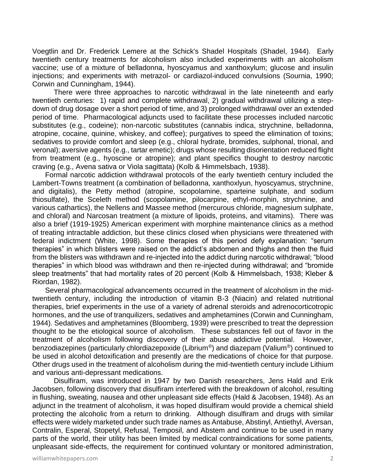Voegtlin and Dr. Frederick Lemere at the Schick's Shadel Hospitals (Shadel, 1944). Early twentieth century treatments for alcoholism also included experiments with an alcoholism vaccine; use of a mixture of belladonna, hyoscyamus and xanthoxylum; glucose and insulin injections; and experiments with metrazol- or cardiazol-induced convulsions (Sournia, 1990; Corwin and Cunningham, 1944).

There were three approaches to narcotic withdrawal in the late nineteenth and early twentieth centuries: 1) rapid and complete withdrawal, 2) gradual withdrawal utilizing a stepdown of drug dosage over a short period of time, and 3) prolonged withdrawal over an extended period of time. Pharmacological adjuncts used to facilitate these processes included narcotic substitutes (e.g., codeine); non-narcotic substitutes (cannabis indica, strychnine, belladonna, atropine, cocaine, quinine, whiskey, and coffee); purgatives to speed the elimination of toxins; sedatives to provide comfort and sleep (e.g., chloral hydrate, bromides, sulphonal, trional, and veronal); aversive agents (e.g., tartar emetic); drugs whose resulting disorientation reduced flight from treatment (e.g., hyoscine or atropine); and plant specifics thought to destroy narcotic craving (e.g., Avena sativa or Viola sagittata) (Kolb & Himmelsbach, 1938).

Formal narcotic addiction withdrawal protocols of the early twentieth century included the Lambert-Towns treatment (a combination of belladonna, xanthoxlyun, hyoscyamus, strychnine, and digitalis), the Petty method (atropine, scopolamine, sparteine sulphate, and sodium thiosulfate), the Sceleth method (scopolamine, pilocarpine, ethyl-morphin, strychnine, and various cathartics), the Nellens and Massee method (mercurous chloride, magnesium sulphate, and chloral) and Narcosan treatment (a mixture of lipoids, proteins, and vitamins). There was also a brief (1919-1925) American experiment with morphine maintenance clinics as a method of treating intractable addiction, but these clinics closed when physicians were threatened with federal indictment (White, 1998). Some therapies of this period defy explanation: "serum therapies" in which blisters were raised on the addict's abdomen and thighs and then the fluid from the blisters was withdrawn and re-injected into the addict during narcotic withdrawal; "blood therapies" in which blood was withdrawn and then re-injected during withdrawal; and "bromide sleep treatments" that had mortality rates of 20 percent (Kolb & Himmelsbach, 1938; Kleber & Riordan, 1982).

Several pharmacological advancements occurred in the treatment of alcoholism in the midtwentieth century, including the introduction of vitamin B-3 (Niacin) and related nutritional therapies, brief experiments in the use of a variety of adrenal steroids and adrenocorticotropic hormones, and the use of tranquilizers, sedatives and amphetamines (Corwin and Cunningham, 1944). Sedatives and amphetamines (Bloomberg, 1939) were prescribed to treat the depression thought to be the etiological source of alcoholism. These substances fell out of favor in the treatment of alcoholism following discovery of their abuse addictive potential. However, benzodiazepines (particularly chlordiazepoxide (Librium®) and diazepam (Valium®) continued to be used in alcohol detoxification and presently are the medications of choice for that purpose. Other drugs used in the treatment of alcoholism during the mid-twentieth century include Lithium and various anti-depressant medications.

Disulfiram, was introduced in 1947 by two Danish researchers, Jens Hald and Erik Jacobsen, following discovery that disulfiram interfered with the breakdown of alcohol, resulting in flushing, sweating, nausea and other unpleasant side effects (Hald & Jacobsen, 1948). As an adjunct in the treatment of alcoholism, it was hoped disulfiram would provide a chemical shield protecting the alcoholic from a return to drinking. Although disulfiram and drugs with similar effects were widely marketed under such trade names as Antabuse, Abstinyl, Antiethyl, Aversan, Contralin, Esperal, Stopetyl, Refusal, Temposil, and Abstem and continue to be used in many parts of the world, their utility has been limited by medical contraindications for some patients, unpleasant side-effects, the requirement for continued voluntary or monitored administration,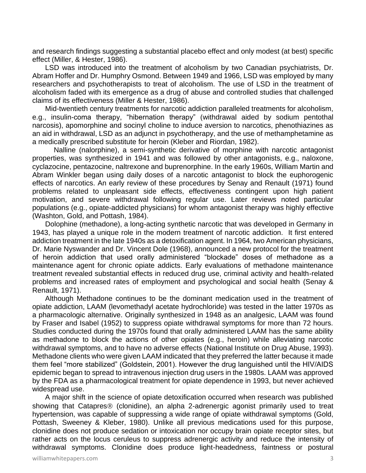and research findings suggesting a substantial placebo effect and only modest (at best) specific effect (Miller, & Hester, 1986).

LSD was introduced into the treatment of alcoholism by two Canadian psychiatrists, Dr. Abram Hoffer and Dr. Humphry Osmond. Between 1949 and 1966, LSD was employed by many researchers and psychotherapists to treat of alcoholism. The use of LSD in the treatment of alcoholism faded with its emergence as a drug of abuse and controlled studies that challenged claims of its effectiveness (Miller & Hester, 1986).

Mid-twentieth century treatments for narcotic addiction paralleled treatments for alcoholism, e.g., insulin-coma therapy, "hibernation therapy" (withdrawal aided by sodium pentothal narcosis), apomorphine and socinyl choline to induce aversion to narcotics, phenothiazines as an aid in withdrawal, LSD as an adjunct in psychotherapy, and the use of methamphetamine as a medically prescribed substitute for heroin (Kleber and Riordan, 1982).

Nalline (nalorphine), a semi-synthetic derivative of morphine with narcotic antagonist properties, was synthesized in 1941 and was followed by other antagonists, e.g., naloxone, cyclazocine, pentazocine, naltrexone and buprenorphine. In the early 1960s, William Martin and Abram Winkler began using daily doses of a narcotic antagonist to block the euphorogenic effects of narcotics. An early review of these procedures by Senay and Renault (1971) found problems related to unpleasant side effects, effectiveness contingent upon high patient motivation, and severe withdrawal following regular use. Later reviews noted particular populations (e.g., opiate-addicted physicians) for whom antagonist therapy was highly effective (Washton, Gold, and Pottash, 1984).

Dolophine (methadone), a long-acting synthetic narcotic that was developed in Germany in 1943, has played a unique role in the modern treatment of narcotic addiction. It first entered addiction treatment in the late 1940s as a detoxification agent. In 1964, two American physicians, Dr. Marie Nyswander and Dr. Vincent Dole (1968), announced a new protocol for the treatment of heroin addiction that used orally administered "blockade" doses of methadone as a maintenance agent for chronic opiate addicts. Early evaluations of methadone maintenance treatment revealed substantial effects in reduced drug use, criminal activity and health-related problems and increased rates of employment and psychological and social health (Senay & Renault, 1971).

Although Methadone continues to be the dominant medication used in the treatment of opiate addiction, LAAM (levomethadyl acetate hydrochloride) was tested in the latter 1970s as a pharmacologic alternative. Originally synthesized in 1948 as an analgesic, LAAM was found by Fraser and Isabel (1952) to suppress opiate withdrawal symptoms for more than 72 hours. Studies conducted during the 1970s found that orally administered LAAM has the same ability as methadone to block the actions of other opiates (e.g., heroin) while alleviating narcotic withdrawal symptoms, and to have no adverse effects (National Institute on Drug Abuse, 1993). Methadone clients who were given LAAM indicated that they preferred the latter because it made them feel "more stabilized" (Goldstein, 2001). However the drug languished until the HIV/AIDS epidemic began to spread to intravenous injection drug users in the 1980s. LAAM was approved by the FDA as a pharmacological treatment for opiate dependence in 1993, but never achieved widespread use.

A major shift in the science of opiate detoxification occurred when research was published showing that Catapres<sup>®</sup> (clonidine), an alpha 2-adrenergic agonist primarily used to treat hypertension, was capable of suppressing a wide range of opiate withdrawal symptoms (Gold, Pottash, Sweeney & Kleber, 1980). Unlike all previous medications used for this purpose, clonidine does not produce sedation or intoxication nor occupy brain opiate receptor sites, but rather acts on the locus ceruleus to suppress adrenergic activity and reduce the intensity of withdrawal symptoms. Clonidine does produce light-headedness, faintness or postural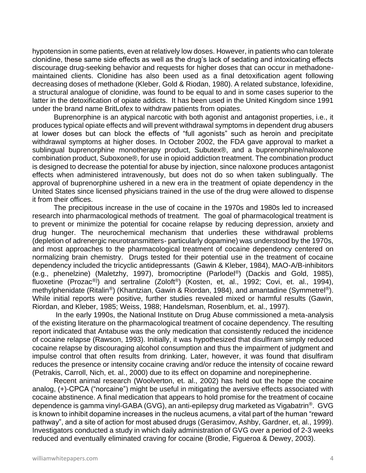hypotension in some patients, even at relatively low doses. However, in patients who can tolerate clonidine, these same side effects as well as the drug's lack of sedating and intoxicating effects discourage drug-seeking behavior and requests for higher doses that can occur in methadonemaintained clients. Clonidine has also been used as a final detoxification agent following decreasing doses of methadone (Kleber, Gold & Riodan, 1980). A related substance, lofexidine, a structural analogue of clonidine, was found to be equal to and in some cases superior to the latter in the detoxification of opiate addicts. It has been used in the United Kingdom since 1991 under the brand name BritLofex to withdraw patients from opiates.

Buprenorphine is an atypical narcotic with both agonist and antagonist properties, i.e., it produces typical opiate effects and will prevent withdrawal symptoms in dependent drug abusers at lower doses but can block the effects of "full agonists" such as heroin and precipitate withdrawal symptoms at higher doses. In October 2002, the FDA gave approval to market a sublingual buprenorphine monotherapy product, Subutex®, and a buprenorphine/naloxone combination product, Suboxone®, for use in opioid addiction treatment. The combination product is designed to decrease the potential for abuse by injection, since naloxone produces antagonist effects when administered intravenously, but does not do so when taken sublingually. The approval of buprenorphine ushered in a new era in the treatment of opiate dependency in the United States since licensed physicians trained in the use of the drug were allowed to dispense it from their offices.

The precipitous increase in the use of cocaine in the 1970s and 1980s led to increased research into pharmacological methods of treatment. The goal of pharmacological treatment is to prevent or minimize the potential for cocaine relapse by reducing depression, anxiety and drug hunger. The neurochemical mechanism that underlies these withdrawal problems (depletion of adrenergic neurotransmitters- particularly dopamine) was understood by the 1970s, and most approaches to the pharmacological treatment of cocaine dependency centered on normalizing brain chemistry. Drugs tested for their potential use in the treatment of cocaine dependency included the tricyclic antidepressants (Gawin & Kleber, 1984), MAO-A/B-inhibitors (e.g., phenelzine) (Maletzhy, 1997), bromocriptine (Parlodel®) (Dackis and Gold, 1985), fluoxetine (Prozac®)) and sertraline (Zoloft®) (Kosten, et, al., 1992; Covi, et. al., 1994), methylphenidate (Ritalin®) (Khantzian, Gawin & Riordan, 1984), and amantadine (Symmetrel®). While initial reports were positive, further studies revealed mixed or harmful results (Gawin, Riordan, and Kleber, 1985; Weiss, 1988; Handelsman, Rosenblum, et. al., 1997).

In the early 1990s, the National Institute on Drug Abuse commissioned a meta-analysis of the existing literature on the pharmacological treatment of cocaine dependency. The resulting report indicated that Antabuse was the only medication that consistently reduced the incidence of cocaine relapse (Rawson, 1993). Initially, it was hypothesized that disulfiram simply reduced cocaine relapse by discouraging alcohol consumption and thus the impairment of judgment and impulse control that often results from drinking. Later, however, it was found that disulfiram reduces the presence or intensity cocaine craving and/or reduce the intensity of cocaine reward (Petrakis, Carroll, Nich, et. al., 2000) due to its effect on dopamine and norepinepherine.

Recent animal research (Woolverton, et. al., 2002) has held out the hope the cocaine analog, (+)-CPCA ("norcaine") might be useful in mitigating the aversive effects associated with cocaine abstinence. A final medication that appears to hold promise for the treatment of cocaine dependence is gamma vinyl-GABA (GVG), an anti-epilepsy drug marketed as Vigabatrin®. GVG is known to inhibit dopamine increases in the nucleus acumens, a vital part of the human "reward pathway", and a site of action for most abused drugs (Gerasimov, Ashby, Gardner, et, al., 1999). Investigators conducted a study in which daily administration of GVG over a period of 2-3 weeks reduced and eventually eliminated craving for cocaine (Brodie, Figueroa & Dewey, 2003).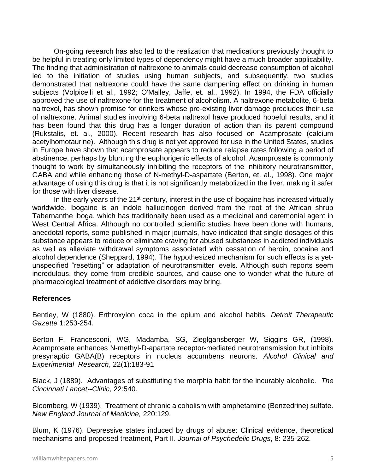On-going research has also led to the realization that medications previously thought to be helpful in treating only limited types of dependency might have a much broader applicability. The finding that administration of naltrexone to animals could decrease consumption of alcohol led to the initiation of studies using human subjects, and subsequently, two studies demonstrated that naltrexone could have the same dampening effect on drinking in human subjects (Volpicelli et al., 1992; O'Malley, Jaffe, et. al., 1992). In 1994, the FDA officially approved the use of naltrexone for the treatment of alcoholism. A naltrexone metabolite, 6-beta naltrexol, has shown promise for drinkers whose pre-existing liver damage precludes their use of naltrexone. Animal studies involving 6-beta naltrexol have produced hopeful results, and it has been found that this drug has a longer duration of action than its parent compound (Rukstalis, et. al., 2000). Recent research has also focused on Acamprosate (calcium acetylhomotaurine). Although this drug is not yet approved for use in the United States, studies in Europe have shown that acamprosate appears to reduce relapse rates following a period of abstinence, perhaps by blunting the euphorigenic effects of alcohol. Acamprosate is commonly thought to work by simultaneously inhibiting the receptors of the inhibitory neurotransmitter, GABA and while enhancing those of N-methyl-D-aspartate (Berton, et. al., 1998). One major advantage of using this drug is that it is not significantly metabolized in the liver, making it safer for those with liver disease.

In the early years of the 21<sup>st</sup> century, interest in the use of ibogaine has increased virtually worldwide. Ibogaine is an indole hallucinogen derived from the root of the African shrub Tabernanthe iboga, which has traditionally been used as a medicinal and ceremonial agent in West Central Africa. Although no controlled scientific studies have been done with humans, anecdotal reports, some published in major journals, have indicated that single dosages of this substance appears to reduce or eliminate craving for abused substances in addicted individuals as well as alleviate withdrawal symptoms associated with cessation of heroin, cocaine and alcohol dependence (Sheppard, 1994). The hypothesized mechanism for such effects is a yetunspecified "resetting" or adaptation of neurotransmitter levels. Although such reports seem incredulous, they come from credible sources, and cause one to wonder what the future of pharmacological treatment of addictive disorders may bring.

#### **References**

Bentley, W (1880). Erthroxylon coca in the opium and alcohol habits. *Detroit Therapeutic Gazette* 1:253-254.

Berton F, Francesconi, WG, Madamba, SG, Zieglgansberger W, Siggins GR, (1998). Acamprosate enhances N-methyl-D-apartate receptor-mediated neurotransmission but inhibits presynaptic GABA(B) receptors in nucleus accumbens neurons. *Alcohol Clinical and Experimental Research*, 22(1):183-91

Black, J (1889). Advantages of substituting the morphia habit for the incurably alcoholic. *The Cincinnati Lancet--Clinic,* 22:540.

Bloomberg, W (1939). Treatment of chronic alcoholism with amphetamine (Benzedrine) sulfate. *New England Journal of Medicine,* 220:129.

Blum, K (1976). Depressive states induced by drugs of abuse: Clinical evidence, theoretical mechanisms and proposed treatment, Part II. *Journal of Psychedelic Drugs*, 8: 235-262.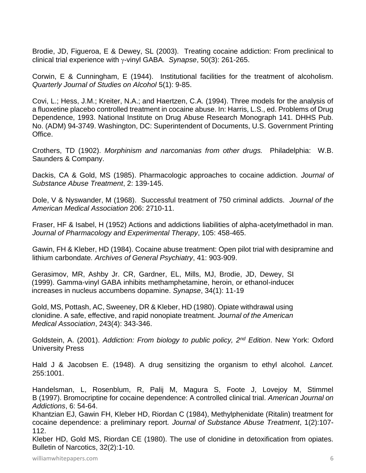Brodie, JD, Figueroa, E & Dewey, SL (2003).Treating cocaine addiction: From preclinical to clinical trial experience with y-vinyl GABA. *Synapse*, 50(3): 261-265.

Corwin, E & Cunningham, E (1944). Institutional facilities for the treatment of alcoholism. *Quarterly Journal of Studies on Alcohol* 5(1): 9-85.

Covi, L.; Hess, J.M.; Kreiter, N.A.; and Haertzen, C.A. (1994). Three models for the analysis of a fluoxetine placebo controlled treatment in cocaine abuse. In: Harris, L.S., ed. Problems of Drug Dependence, 1993. National Institute on Drug Abuse Research Monograph 141. DHHS Pub. No. (ADM) 94-3749. Washington, DC: Superintendent of Documents, U.S. Government Printing Office.

Crothers, TD (1902). *Morphinism and narcomanias from other drugs.* Philadelphia: W.B. Saunders & Company.

Dackis, CA & Gold, MS (1985). Pharmacologic approaches to cocaine addiction. *Journal of Substance Abuse Treatment*, 2: 139-145.

Dole, V & Nyswander, M (1968). Successful treatment of 750 criminal addicts. *Journal of the American Medical Association* 206: 2710-11.

Fraser, HF & Isabel, H (1952) Actions and addictions liabilities of alpha-acetylmethadol in man. *Journal of Pharmacology and Experimental Therapy*, 105: 458-465.

Gawin, FH & Kleber, HD (1984). Cocaine abuse treatment: Open pilot trial with desipramine and lithium carbondate*. Archives of General Psychiatry*, 41: 903-909.

Gerasimov, MR, Ashby Jr. CR, Gardner, EL, Mills, MJ, Brodie, JD, Dewey, SL (1999). Gamma-vinyl GABA inhibits methamphetamine, heroin, or ethanol-induced increases in nucleus accumbens dopamine. *Synapse*, 34(1): 11-19

Gold, MS, Pottash, AC, Sweeney, DR & Kleber, HD (1980). Opiate withdrawal using clonidine. A safe, effective, and rapid nonopiate treatment. *Journal of the American Medical Association*, 243(4): 343-346.

Goldstein, A. (2001). *Addiction: From biology to public policy, 2nd Edition*. New York: Oxford University Press

Hald J & Jacobsen E. (1948). A drug sensitizing the organism to ethyl alcohol. *Lancet.* 255:1001.

Handelsman, L, Rosenblum, R, Palij M, Magura S, Foote J, Lovejoy M, Stimmel B (1997). Bromocriptine for cocaine dependence: A controlled clinical trial. *American Journal on Addictions*, 6: 54-64.

Khantzian EJ, Gawin FH, Kleber HD, Riordan C (1984), Methylphenidate (Ritalin) treatment for cocaine dependence: a preliminary report*. Journal of Substance Abuse Treatment*, 1(2):107- 112.

Kleber HD, Gold MS, Riordan CE (1980). The use of clonidine in detoxification from opiates. Bulletin of Narcotics, 32(2):1-10.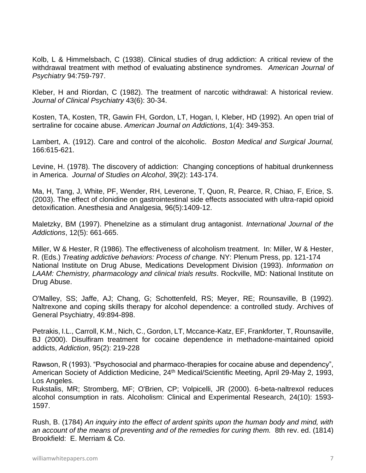Kolb, L & Himmelsbach, C (1938). Clinical studies of drug addiction: A critical review of the withdrawal treatment with method of evaluating abstinence syndromes*. American Journal of Psychiatry* 94:759-797.

Kleber, H and Riordan, C (1982). The treatment of narcotic withdrawal: A historical review. *Journal of Clinical Psychiatry* 43(6): 30-34.

Kosten, TA, Kosten, TR, Gawin FH, Gordon, LT, Hogan, I, Kleber, HD (1992). An open trial of sertraline for cocaine abuse. *American Journal on Addictions*, 1(4): 349-353.

Lambert, A. (1912). Care and control of the alcoholic. *Boston Medical and Surgical Journal,* 166:615-621.

Levine, H. (1978). The discovery of addiction: Changing conceptions of habitual drunkenness in America. *Journal of Studies on Alcohol*, 39(2): 143-174.

Ma, H, Tang, J, White, PF, Wender, RH, Leverone, T, Quon, R, Pearce, R, Chiao, F, Erice, S. (2003). The effect of clonidine on gastrointestinal side effects associated with ultra-rapid opioid detoxification. Anesthesia and Analgesia, 96(5):1409-12.

Maletzky, BM (1997). Phenelzine as a stimulant drug antagonist. *International Journal of the Addictions*, 12(5): 661-665.

Miller, W & Hester, R (1986). The effectiveness of alcoholism treatment. In: Miller, W & Hester, R. (Eds.) *Treating addictive behaviors: Process of change.* NY: Plenum Press, pp. 121-174 National Institute on Drug Abuse, Medications Development Division (1993). *Information on LAAM: Chemistry, pharmacology and clinical trials results*. Rockville, MD: National Institute on Drug Abuse.

O'Malley, SS; Jaffe, AJ; Chang, G; Schottenfeld, RS; Meyer, RE; Rounsaville, B (1992). Naltrexone and coping skills therapy for alcohol dependence: a controlled study. Archives of General Psychiatry, 49:894-898.

Petrakis, I.L., Carroll, K.M., Nich, C., Gordon, LT, Mccance-Katz, EF, Frankforter, T, Rounsaville, BJ (2000). Disulfiram treatment for cocaine dependence in methadone-maintained opioid addicts, *Addiction*, 95(2): 219-228

Rawson, R (1993). "Psychosocial and pharmaco-therapies for cocaine abuse and dependency", American Society of Addiction Medicine, 24<sup>th</sup> Medical/Scientific Meeting, April 29-May 2, 1993, Los Angeles.

Rukstalis, MR; Stromberg, MF; O'Brien, CP; Volpicelli, JR (2000). 6-beta-naltrexol reduces alcohol consumption in rats. Alcoholism: Clinical and Experimental Research, 24(10): 1593- 1597.

Rush, B. (1784) *An inquiry into the effect of ardent spirits upon the human body and mind, with an account of the means of preventing and of the remedies for curing them.* 8th rev. ed. (1814) Brookfield: E. Merriam & Co.